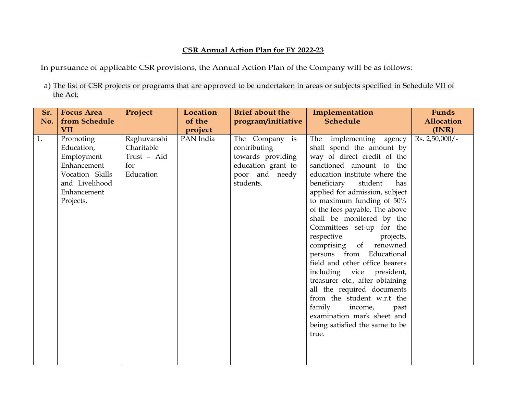## **CSR Annual Action Plan for FY 2022-23**

In pursuance of applicable CSR provisions, the Annual Action Plan of the Company will be as follows:

a) The list of CSR projects or programs that are approved to be undertaken in areas or subjects specified in Schedule VII of the Act;

| Sr.<br>No. | <b>Focus Area</b><br>from Schedule<br><b>VII</b>                                                                      | Project                                                      | Location<br>of the<br>project | <b>Brief about the</b><br>program/initiative                                                             | Implementation<br><b>Schedule</b>                                                                                                                                                                                                                                                                                                                                                                                                                                                                                                                                                                                                                                                                 | <b>Funds</b><br><b>Allocation</b><br>(INR) |
|------------|-----------------------------------------------------------------------------------------------------------------------|--------------------------------------------------------------|-------------------------------|----------------------------------------------------------------------------------------------------------|---------------------------------------------------------------------------------------------------------------------------------------------------------------------------------------------------------------------------------------------------------------------------------------------------------------------------------------------------------------------------------------------------------------------------------------------------------------------------------------------------------------------------------------------------------------------------------------------------------------------------------------------------------------------------------------------------|--------------------------------------------|
| 1.         | Promoting<br>Education,<br>Employment<br>Enhancement<br>Vocation Skills<br>and Livelihood<br>Enhancement<br>Projects. | Raghuvanshi<br>Charitable<br>Trust - Aid<br>for<br>Education | PAN India                     | The Company is<br>contributing<br>towards providing<br>education grant to<br>poor and needy<br>students. | The implementing agency<br>shall spend the amount by<br>way of direct credit of the<br>sanctioned amount to the<br>education institute where the<br>beneficiary<br>student<br>has<br>applied for admission, subject<br>to maximum funding of 50%<br>of the fees payable. The above<br>shall be monitored by the<br>Committees set-up for the<br>respective<br>projects,<br>comprising of renowned<br>persons from Educational<br>field and other office bearers<br>including vice president,<br>treasurer etc., after obtaining<br>all the required documents<br>from the student w.r.t the<br>family<br>income,<br>past<br>examination mark sheet and<br>being satisfied the same to be<br>true. | $Rs. 2,50,000/$ -                          |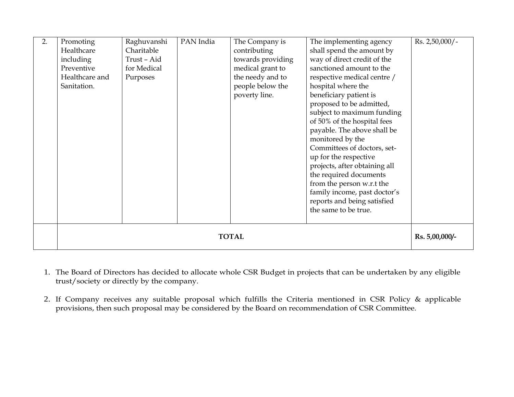| 2. | Promoting                      | Raghuvanshi | PAN India | The Company is                            | The implementing agency       | Rs. 2,50,000/- |  |
|----|--------------------------------|-------------|-----------|-------------------------------------------|-------------------------------|----------------|--|
|    | Healthcare                     | Charitable  |           | shall spend the amount by<br>contributing |                               |                |  |
|    | including                      | Trust-Aid   |           | towards providing                         | way of direct credit of the   |                |  |
|    | Preventive                     | for Medical |           | medical grant to                          | sanctioned amount to the      |                |  |
|    | Healthcare and                 | Purposes    |           | the needy and to                          | respective medical centre /   |                |  |
|    | Sanitation.                    |             |           | people below the                          | hospital where the            |                |  |
|    |                                |             |           | poverty line.                             | beneficiary patient is        |                |  |
|    |                                |             |           |                                           | proposed to be admitted,      |                |  |
|    |                                |             |           |                                           | subject to maximum funding    |                |  |
|    |                                |             |           |                                           | of 50% of the hospital fees   |                |  |
|    |                                |             |           |                                           | payable. The above shall be   |                |  |
|    |                                |             |           |                                           | monitored by the              |                |  |
|    |                                |             |           |                                           | Committees of doctors, set-   |                |  |
|    |                                |             |           |                                           | up for the respective         |                |  |
|    |                                |             |           |                                           | projects, after obtaining all |                |  |
|    |                                |             |           |                                           | the required documents        |                |  |
|    |                                |             |           |                                           | from the person w.r.t the     |                |  |
|    |                                |             |           |                                           | family income, past doctor's  |                |  |
|    |                                |             |           |                                           | reports and being satisfied   |                |  |
|    |                                |             |           |                                           | the same to be true.          |                |  |
|    |                                |             |           |                                           |                               |                |  |
|    |                                |             |           |                                           |                               |                |  |
|    | <b>TOTAL</b><br>Rs. 5,00,000/- |             |           |                                           |                               |                |  |
|    |                                |             |           |                                           |                               |                |  |

- 1. The Board of Directors has decided to allocate whole CSR Budget in projects that can be undertaken by any eligible trust/society or directly by the company.
- 2. If Company receives any suitable proposal which fulfills the Criteria mentioned in CSR Policy & applicable provisions, then such proposal may be considered by the Board on recommendation of CSR Committee.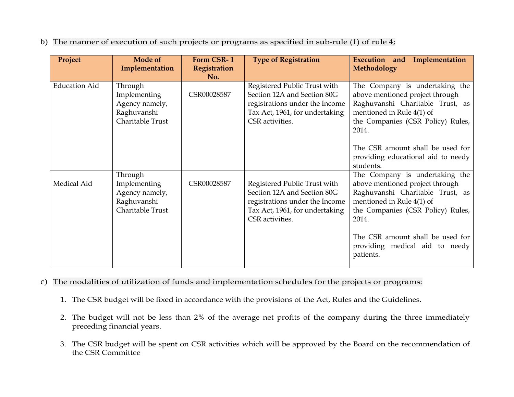b) The manner of execution of such projects or programs as specified in sub-rule (1) of rule 4;

| Project              | <b>Mode of</b><br>Implementation                                             | Form CSR-1<br>Registration | <b>Type of Registration</b>                                                                                                                        | Execution and Implementation<br>Methodology                                                                                                                                      |
|----------------------|------------------------------------------------------------------------------|----------------------------|----------------------------------------------------------------------------------------------------------------------------------------------------|----------------------------------------------------------------------------------------------------------------------------------------------------------------------------------|
| <b>Education Aid</b> | Through<br>Implementing<br>Agency namely,<br>Raghuvanshi<br>Charitable Trust | No.<br>CSR00028587         | Registered Public Trust with<br>Section 12A and Section 80G<br>registrations under the Income<br>Tax Act, 1961, for undertaking<br>CSR activities. | The Company is undertaking the<br>above mentioned project through<br>Raghuvanshi Charitable Trust, as<br>mentioned in Rule 4(1) of<br>the Companies (CSR Policy) Rules,<br>2014. |
|                      |                                                                              |                            |                                                                                                                                                    | The CSR amount shall be used for<br>providing educational aid to needy<br>students.                                                                                              |
| Medical Aid          | Through<br>Implementing<br>Agency namely,<br>Raghuvanshi<br>Charitable Trust | CSR00028587                | Registered Public Trust with<br>Section 12A and Section 80G<br>registrations under the Income<br>Tax Act, 1961, for undertaking<br>CSR activities. | The Company is undertaking the<br>above mentioned project through<br>Raghuvanshi Charitable Trust, as<br>mentioned in Rule 4(1) of<br>the Companies (CSR Policy) Rules,<br>2014. |
|                      |                                                                              |                            |                                                                                                                                                    | The CSR amount shall be used for<br>providing medical aid to needy<br>patients.                                                                                                  |

- c) The modalities of utilization of funds and implementation schedules for the projects or programs:
	- 1. The CSR budget will be fixed in accordance with the provisions of the Act, Rules and the Guidelines.
	- 2. The budget will not be less than 2% of the average net profits of the company during the three immediately preceding financial years.
	- 3. The CSR budget will be spent on CSR activities which will be approved by the Board on the recommendation of the CSR Committee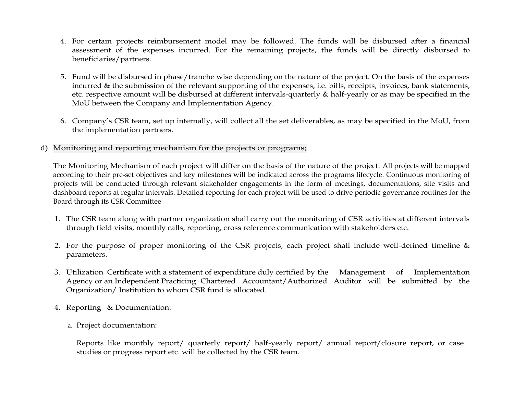- 4. For certain projects reimbursement model may be followed. The funds will be disbursed after a financial assessment of the expenses incurred. For the remaining projects, the funds will be directly disbursed to beneficiaries/partners.
- 5. Fund will be disbursed in phase/tranche wise depending on the nature of the project. On the basis of the expenses incurred & the submission of the relevant supporting of the expenses, i.e. bills, receipts, invoices, bank statements, etc. respective amount will be disbursed at different intervals-quarterly & half-yearly or as may be specified in the MoU between the Company and Implementation Agency.
- 6. Company's CSR team, set up internally, will collect all the set deliverables, as may be specified in the MoU, from the implementation partners.
- d) Monitoring and reporting mechanism for the projects or programs;

The Monitoring Mechanism of each project will differ on the basis of the nature of the project. All projects will be mapped according to their pre-set objectives and key milestones will be indicated across the programs lifecycle. Continuous monitoring of projects will be conducted through relevant stakeholder engagements in the form of meetings, documentations, site visits and dashboard reports at regular intervals. Detailed reporting for each project will be used to drive periodic governance routines for the Board through its CSR Committee

- 1. The CSR team along with partner organization shall carry out the monitoring of CSR activities at different intervals through field visits, monthly calls, reporting, cross reference communication with stakeholders etc.
- 2. For the purpose of proper monitoring of the CSR projects, each project shall include well-defined timeline  $\&$ parameters.
- 3. Utilization Certificate with a statement of expenditure duly certified by the Management of Implementation Agency or an Independent Practicing Chartered Accountant/Authorized Auditor will be submitted by the Organization/ Institution to whom CSR fund is allocated.
- 4. Reporting & Documentation:
	- a. Project documentation:

Reports like monthly report/ quarterly report/ half-yearly report/ annual report/closure report, or case studies or progress report etc. will be collected by the CSR team.